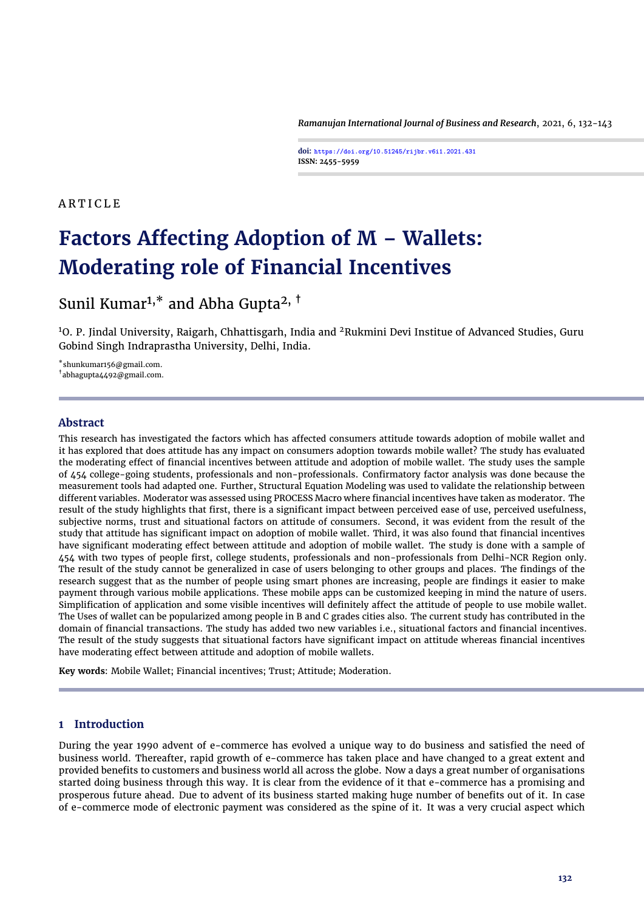*Ramanujan International Journal of Business and Research*, 2021, 6, 132[-143](#page-11-0)

**doi: https://doi.org/10.51245/rijbr.v6i1.2021.431 ISSN: 2455-5959**

# A R T I C L E

# **Factors Affecting Adoption of M – Wallets: Moderating role of Financial Incentives**

# Sunil Kumar<sup>1,\*</sup> and Abha Gupta<sup>2, †</sup>

<sup>1</sup>O. P. Jindal University, Raigarh, Chhattisgarh, India and <sup>2</sup>Rukmini Devi Institue of Advanced Studies, Guru Gobind Singh Indraprastha University, Delhi, India.

\*shunkumar156@gmail.com.

†abhagupta4492@gmail.com.

# **Abstract**

This research has investigated the factors which has affected consumers attitude towards adoption of mobile wallet and it has explored that does attitude has any impact on consumers adoption towards mobile wallet? The study has evaluated the moderating effect of financial incentives between attitude and adoption of mobile wallet. The study uses the sample of 454 college-going students, professionals and non-professionals. Confirmatory factor analysis was done because the measurement tools had adapted one. Further, Structural Equation Modeling was used to validate the relationship between different variables. Moderator was assessed using PROCESS Macro where financial incentives have taken as moderator. The result of the study highlights that first, there is a significant impact between perceived ease of use, perceived usefulness, subjective norms, trust and situational factors on attitude of consumers. Second, it was evident from the result of the study that attitude has significant impact on adoption of mobile wallet. Third, it was also found that financial incentives have significant moderating effect between attitude and adoption of mobile wallet. The study is done with a sample of 454 with two types of people first, college students, professionals and non-professionals from Delhi-NCR Region only. The result of the study cannot be generalized in case of users belonging to other groups and places. The findings of the research suggest that as the number of people using smart phones are increasing, people are findings it easier to make payment through various mobile applications. These mobile apps can be customized keeping in mind the nature of users. Simplification of application and some visible incentives will definitely affect the attitude of people to use mobile wallet. The Uses of wallet can be popularized among people in B and C grades cities also. The current study has contributed in the domain of financial transactions. The study has added two new variables i.e., situational factors and financial incentives. The result of the study suggests that situational factors have significant impact on attitude whereas financial incentives have moderating effect between attitude and adoption of mobile wallets.

**Key words**: Mobile Wallet; Financial incentives; Trust; Attitude; Moderation.

# **1 Introduction**

During the year 1990 advent of e-commerce has evolved a unique way to do business and satisfied the need of business world. Thereafter, rapid growth of e-commerce has taken place and have changed to a great extent and provided benefits to customers and business world all across the globe. Now a days a great number of organisations started doing business through this way. It is clear from the evidence of it that e-commerce has a promising and prosperous future ahead. Due to advent of its business started making huge number of benefits out of it. In case of e-commerce mode of electronic payment was considered as the spine of it. It was a very crucial aspect which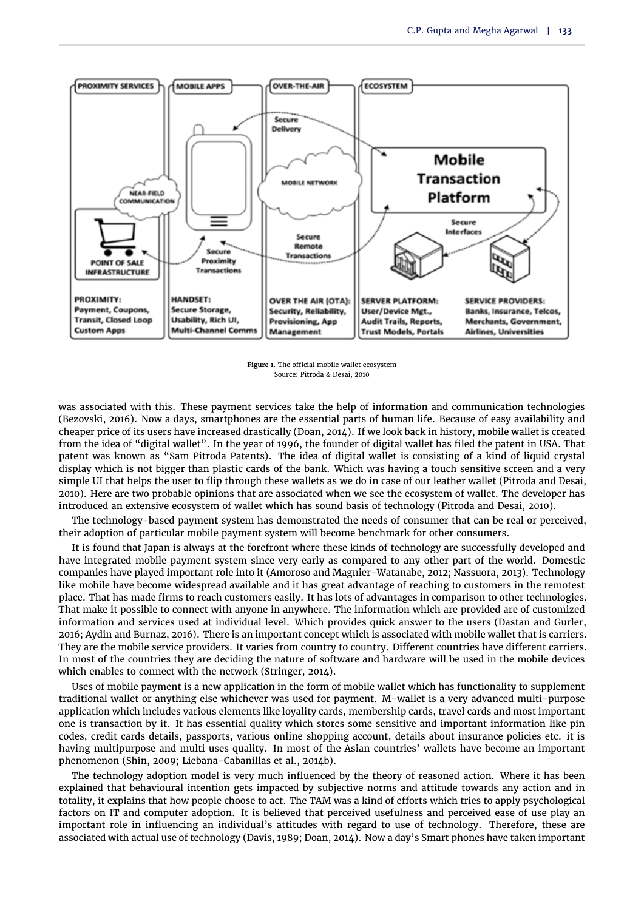<span id="page-1-0"></span>

**Figure 1.** The official mobile wallet ecosystem Source: Pitroda & Desai, 2010

was associated with this. These payment services take the help of information and communication technologies [\(Bezovski,](#page-10-0) [2016\)](#page-10-0). Now a days, smartphones are the essential parts of human life. Because of easy availability and cheaper price of its users have increased drastically [\(Doan,](#page-10-1) [2014\)](#page-10-1). If we look back in history, mobile wallet is created from the idea of "digital wallet". In the year of 1996, the founder of digital wallet has filed the patent in USA. That patent was known as "Sam Pitroda Patents). The idea of digital wallet is consisting of a kind of liquid crystal display which is not bigger than plastic cards of the bank. Which was having a touch sensitive screen and a very simple UI that helps the user to flip through these wallets as we do in case of our leather wallet [\(Pitroda and Desai,](#page-11-1) [2010\)](#page-11-1). Here are two probable opinions that are associated when we see the ecosystem of wallet. The developer has introduced an extensive ecosystem of wallet which has sound basis of technology [\(Pitroda and Desai,](#page-11-1) [2010\)](#page-11-1).

The technology-based payment system has demonstrated the needs of consumer that can be real or perceived, their adoption of particular mobile payment system will become benchmark for other consumers.

It is found that Japan is always at the forefront where these kinds of technology are successfully developed and have integrated mobile payment system since very early as compared to any other part of the world. Domestic companies have played important role into it [\(Amoroso and Magnier-Watanabe,](#page-10-2) [2012;](#page-10-2) [Nassuora,](#page-11-2) [2013\)](#page-11-2). Technology like mobile have become widespread available and it has great advantage of reaching to customers in the remotest place. That has made firms to reach customers easily. It has lots of advantages in comparison to other technologies. That make it possible to connect with anyone in anywhere. The information which are provided are of customized information and services used at individual level. Which provides quick answer to the users [\(Dastan and Gurler,](#page-10-3) [2016;](#page-10-3) [Aydin and Burnaz,](#page-10-4) [2016\)](#page-10-4). There is an important concept which is associated with mobile wallet that is carriers. They are the mobile service providers. It varies from country to country. Different countries have different carriers. In most of the countries they are deciding the nature of software and hardware will be used in the mobile devices which enables to connect with the network [\(Stringer,](#page-11-3) [2014\)](#page-11-3).

Uses of mobile payment is a new application in the form of mobile wallet which has functionality to supplement traditional wallet or anything else whichever was used for payment. M-wallet is a very advanced multi-purpose application which includes various elements like loyality cards, membership cards, travel cards and most important one is transaction by it. It has essential quality which stores some sensitive and important information like pin codes, credit cards details, passports, various online shopping account, details about insurance policies etc. it is having multipurpose and multi uses quality. In most of the Asian countries' wallets have become an important phenomenon [\(Shin,](#page-11-4) [2009;](#page-11-4) [Liebana-Cabanillas et al.,](#page-11-5) [2014b\)](#page-11-5).

The technology adoption model is very much influenced by the theory of reasoned action. Where it has been explained that behavioural intention gets impacted by subjective norms and attitude towards any action and in totality, it explains that how people choose to act. The TAM was a kind of efforts which tries to apply psychological factors on IT and computer adoption. It is believed that perceived usefulness and perceived ease of use play an important role in influencing an individual's attitudes with regard to use of technology. Therefore, these are associated with actual use of technology [\(Davis,](#page-10-5) [1989;](#page-10-5) [Doan,](#page-10-1) [2014\)](#page-10-1). Now a day's Smart phones have taken important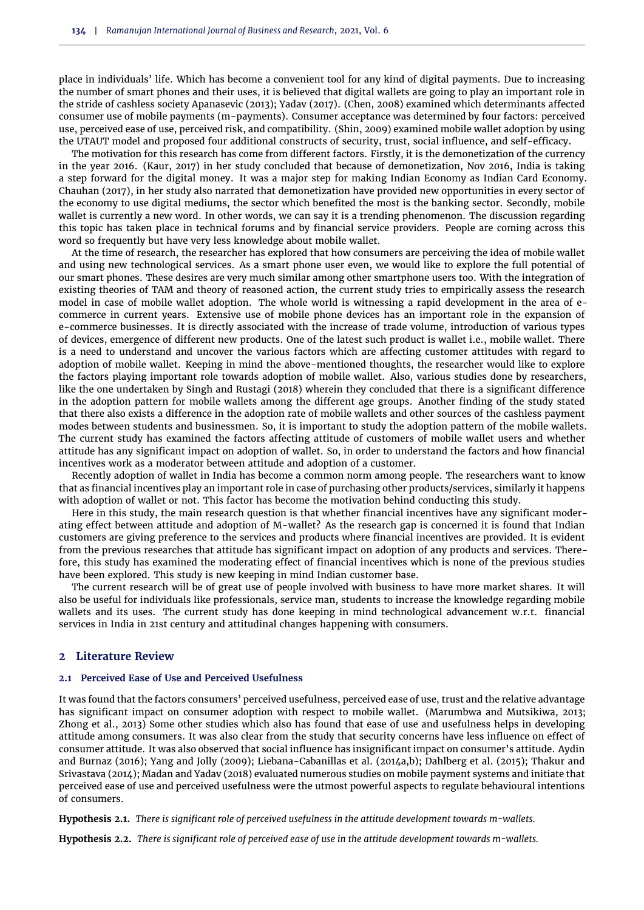place in individuals' life. Which has become a convenient tool for any kind of digital payments. Due to increasing the number of smart phones and their uses, it is believed that digital wallets are going to play an important role in the stride of cashless society [Apanasevic](#page-10-6) [\(2013\)](#page-10-6); [Yadav](#page-11-6) [\(2017\)](#page-11-6). [\(Chen,](#page-10-7) [2008\)](#page-10-7) examined which determinants affected consumer use of mobile payments (m-payments). Consumer acceptance was determined by four factors: perceived use, perceived ease of use, perceived risk, and compatibility. [\(Shin,](#page-11-4) [2009\)](#page-11-4) examined mobile wallet adoption by using the UTAUT model and proposed four additional constructs of security, trust, social influence, and self-efficacy.

The motivation for this research has come from different factors. Firstly, it is the demonetization of the currency in the year 2016. [\(Kaur,](#page-10-8) [2017\)](#page-10-8) in her study concluded that because of demonetization, Nov 2016, India is taking a step forward for the digital money. It was a major step for making Indian Economy as Indian Card Economy. [Chauhan](#page-10-9) [\(2017\)](#page-10-9), in her study also narrated that demonetization have provided new opportunities in every sector of the economy to use digital mediums, the sector which benefited the most is the banking sector. Secondly, mobile wallet is currently a new word. In other words, we can say it is a trending phenomenon. The discussion regarding this topic has taken place in technical forums and by financial service providers. People are coming across this word so frequently but have very less knowledge about mobile wallet.

At the time of research, the researcher has explored that how consumers are perceiving the idea of mobile wallet and using new technological services. As a smart phone user even, we would like to explore the full potential of our smart phones. These desires are very much similar among other smartphone users too. With the integration of existing theories of TAM and theory of reasoned action, the current study tries to empirically assess the research model in case of mobile wallet adoption. The whole world is witnessing a rapid development in the area of ecommerce in current years. Extensive use of mobile phone devices has an important role in the expansion of e-commerce businesses. It is directly associated with the increase of trade volume, introduction of various types of devices, emergence of different new products. One of the latest such product is wallet i.e., mobile wallet. There is a need to understand and uncover the various factors which are affecting customer attitudes with regard to adoption of mobile wallet. Keeping in mind the above-mentioned thoughts, the researcher would like to explore the factors playing important role towards adoption of mobile wallet. Also, various studies done by researchers, like the one undertaken by [Singh and Rustagi](#page-11-7) [\(2018\)](#page-11-7) wherein they concluded that there is a significant difference in the adoption pattern for mobile wallets among the different age groups. Another finding of the study stated that there also exists a difference in the adoption rate of mobile wallets and other sources of the cashless payment modes between students and businessmen. So, it is important to study the adoption pattern of the mobile wallets. The current study has examined the factors affecting attitude of customers of mobile wallet users and whether attitude has any significant impact on adoption of wallet. So, in order to understand the factors and how financial incentives work as a moderator between attitude and adoption of a customer.

Recently adoption of wallet in India has become a common norm among people. The researchers want to know that as financial incentives play an important role in case of purchasing other products/services, similarly it happens with adoption of wallet or not. This factor has become the motivation behind conducting this study.

Here in this study, the main research question is that whether financial incentives have any significant moderating effect between attitude and adoption of M-wallet? As the research gap is concerned it is found that Indian customers are giving preference to the services and products where financial incentives are provided. It is evident from the previous researches that attitude has significant impact on adoption of any products and services. Therefore, this study has examined the moderating effect of financial incentives which is none of the previous studies have been explored. This study is new keeping in mind Indian customer base.

The current research will be of great use of people involved with business to have more market shares. It will also be useful for individuals like professionals, service man, students to increase the knowledge regarding mobile wallets and its uses. The current study has done keeping in mind technological advancement w.r.t. financial services in India in 21st century and attitudinal changes happening with consumers.

### **2 Literature Review**

#### **2.1 Perceived Ease of Use and Perceived Usefulness**

It was found that the factors consumers' perceived usefulness, perceived ease of use, trust and the relative advantage has significant impact on consumer adoption with respect to mobile wallet. [\(Marumbwa and Mutsikiwa,](#page-11-8) [2013;](#page-11-8) [Zhong et al.,](#page-11-9) [2013\)](#page-11-9) Some other studies which also has found that ease of use and usefulness helps in developing attitude among consumers. It was also clear from the study that security concerns have less influence on effect of consumer attitude. It was also observed that social influence has insignificant impact on consumer's attitude. [Aydin](#page-10-4) [and Burnaz](#page-10-4) [\(2016\)](#page-10-4); [Yang and Jolly](#page-11-10) [\(2009\)](#page-11-10); [Liebana-Cabanillas et al.](#page-10-10) [\(2014a,](#page-10-10)[b\)](#page-11-5); [Dahlberg et al.](#page-10-11) [\(2015\)](#page-10-11); [Thakur and](#page-11-11) [Srivastava](#page-11-11) [\(2014\)](#page-11-11); [Madan and Yadav](#page-11-12) [\(2018\)](#page-11-12) evaluated numerous studies on mobile payment systems and initiate that perceived ease of use and perceived usefulness were the utmost powerful aspects to regulate behavioural intentions of consumers.

<span id="page-2-0"></span>**Hypothesis 2.1.** *There is significant role of perceived usefulness in the attitude development towards m-wallets.*

<span id="page-2-1"></span>**Hypothesis 2.2.** *There is significant role of perceived ease of use in the attitude development towards m-wallets.*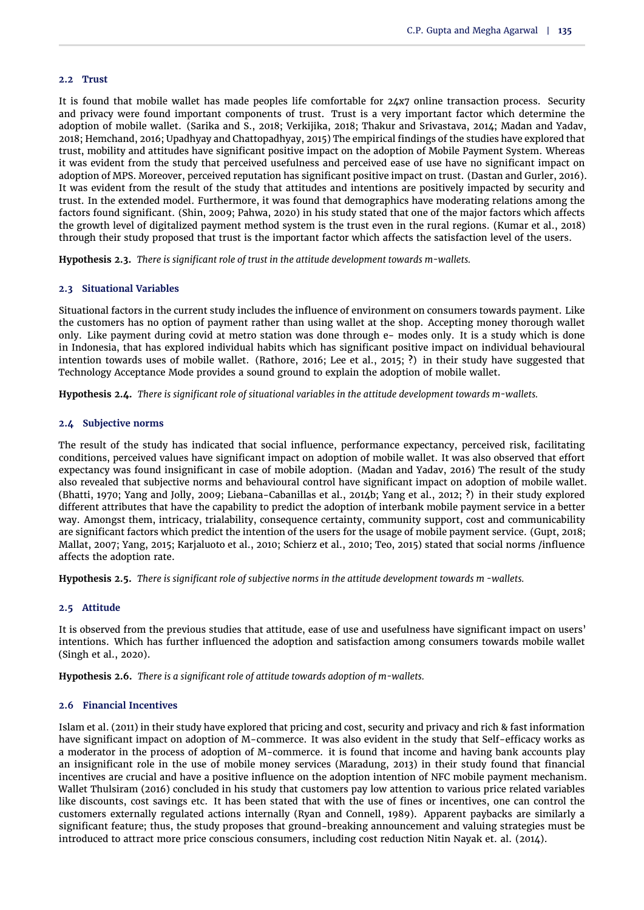#### **2.2 Trust**

It is found that mobile wallet has made peoples life comfortable for 24x7 online transaction process. Security and privacy were found important components of trust. Trust is a very important factor which determine the adoption of mobile wallet. [\(Sarika and S.,](#page-11-13) [2018;](#page-11-13) [Verkijika,](#page-11-14) [2018;](#page-11-14) [Thakur and Srivastava,](#page-11-11) [2014;](#page-11-11) [Madan and Yadav,](#page-11-12) [2018;](#page-11-12) [Hemchand,](#page-10-12) [2016;](#page-10-12) [Upadhyay and Chattopadhyay,](#page-11-15) [2015\)](#page-11-15) The empirical findings of the studies have explored that trust, mobility and attitudes have significant positive impact on the adoption of Mobile Payment System. Whereas it was evident from the study that perceived usefulness and perceived ease of use have no significant impact on adoption of MPS. Moreover, perceived reputation has significant positive impact on trust. [\(Dastan and Gurler,](#page-10-3) [2016\)](#page-10-3). It was evident from the result of the study that attitudes and intentions are positively impacted by security and trust. In the extended model. Furthermore, it was found that demographics have moderating relations among the factors found significant. [\(Shin,](#page-11-4) [2009;](#page-11-4) [Pahwa,](#page-11-16) [2020\)](#page-11-16) in his study stated that one of the major factors which affects the growth level of digitalized payment method system is the trust even in the rural regions. [\(Kumar et al.,](#page-10-13) [2018\)](#page-10-13) through their study proposed that trust is the important factor which affects the satisfaction level of the users.

<span id="page-3-0"></span>**Hypothesis 2.3.** *There is significant role of trust in the attitude development towards m-wallets.*

#### **2.3 Situational Variables**

Situational factors in the current study includes the influence of environment on consumers towards payment. Like the customers has no option of payment rather than using wallet at the shop. Accepting money thorough wallet only. Like payment during covid at metro station was done through e- modes only. It is a study which is done in Indonesia, that has explored individual habits which has significant positive impact on individual behavioural intention towards uses of mobile wallet. [\(Rathore,](#page-11-17) [2016;](#page-11-17) [Lee et al.,](#page-10-14) [2015;](#page-10-14) **?**) in their study have suggested that Technology Acceptance Mode provides a sound ground to explain the adoption of mobile wallet.

<span id="page-3-1"></span>**Hypothesis 2.4.** *There is significant role of situational variables in the attitude development towards m-wallets.*

#### **2.4 Subjective norms**

The result of the study has indicated that social influence, performance expectancy, perceived risk, facilitating conditions, perceived values have significant impact on adoption of mobile wallet. It was also observed that effort expectancy was found insignificant in case of mobile adoption. [\(Madan and Yadav,](#page-11-18) [2016\)](#page-11-18) The result of the study also revealed that subjective norms and behavioural control have significant impact on adoption of mobile wallet. [\(Bhatti,](#page-10-15) [1970;](#page-10-15) [Yang and Jolly,](#page-11-10) [2009;](#page-11-10) [Liebana-Cabanillas et al.,](#page-11-5) [2014b;](#page-11-5) [Yang et al.,](#page-11-19) [2012;](#page-11-19) **?**) in their study explored different attributes that have the capability to predict the adoption of interbank mobile payment service in a better way. Amongst them, intricacy, trialability, consequence certainty, community support, cost and communicability are significant factors which predict the intention of the users for the usage of mobile payment service. [\(Gupt,](#page-10-16) [2018;](#page-10-16) [Mallat,](#page-11-20) [2007;](#page-11-20) [Yang,](#page-11-21) [2015;](#page-11-21) [Karjaluoto et al.,](#page-10-17) [2010;](#page-10-17) [Schierz et al.,](#page-11-22) [2010;](#page-11-22) [Teo,](#page-11-23) [2015\)](#page-11-23) stated that social norms /influence affects the adoption rate.

<span id="page-3-2"></span>**Hypothesis 2.5.** *There is significant role of subjective norms in the attitude development towards m -wallets.*

# **2.5 Attitude**

It is observed from the previous studies that attitude, ease of use and usefulness have significant impact on users' intentions. Which has further influenced the adoption and satisfaction among consumers towards mobile wallet [\(Singh et al.,](#page-11-24) [2020\)](#page-11-24).

<span id="page-3-3"></span>**Hypothesis 2.6.** *There is a significant role of attitude towards adoption of m-wallets.*

# **2.6 Financial Incentives**

[Islam et al.](#page-10-18) [\(2011\)](#page-10-18) in their study have explored that pricing and cost, security and privacy and rich & fast information have significant impact on adoption of M-commerce. It was also evident in the study that Self-efficacy works as a moderator in the process of adoption of M-commerce. it is found that income and having bank accounts play an insignificant role in the use of mobile money services [\(Maradung,](#page-11-25) [2013\)](#page-11-25) in their study found that financial incentives are crucial and have a positive influence on the adoption intention of NFC mobile payment mechanism. Wallet Thulsiram (2016) concluded in his study that customers pay low attention to various price related variables like discounts, cost savings etc. It has been stated that with the use of fines or incentives, one can control the customers externally regulated actions internally [\(Ryan and Connell,](#page-11-26) [1989\)](#page-11-26). Apparent paybacks are similarly a significant feature; thus, the study proposes that ground-breaking announcement and valuing strategies must be introduced to attract more price conscious consumers, including cost reduction Nitin Nayak et. al. (2014).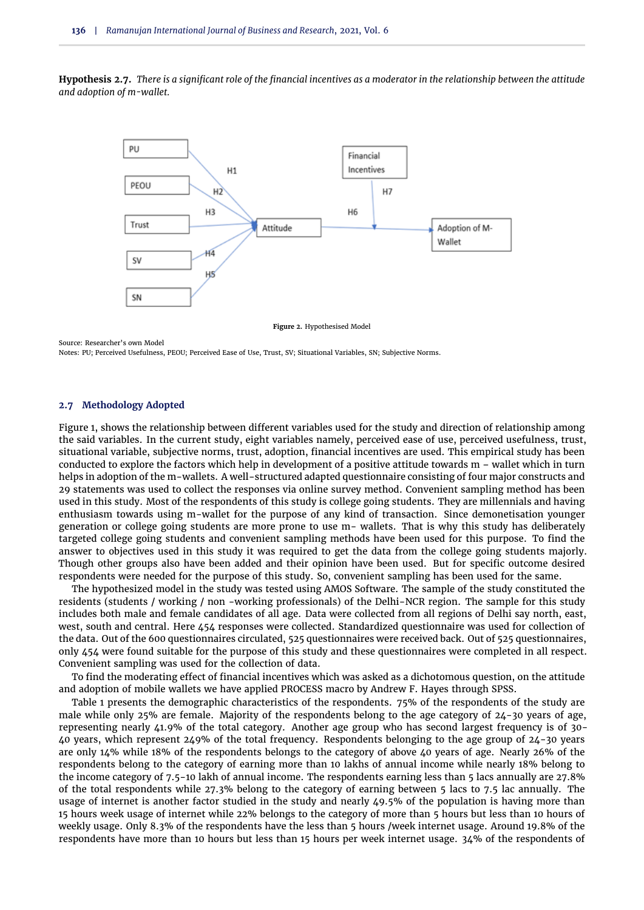<span id="page-4-0"></span>**Hypothesis 2.7.** *There is a significant role of the financial incentives as a moderator in the relationship between the attitude and adoption of m-wallet.*



**Figure 2.** Hypothesised Model

Source: Researcher's own Model

Notes: PU; Perceived Usefulness, PEOU; Perceived Ease of Use, Trust, SV; Situational Variables, SN; Subjective Norms.

#### **2.7 Methodology Adopted**

[Figure 1,](#page-1-0) shows the relationship between different variables used for the study and direction of relationship among the said variables. In the current study, eight variables namely, perceived ease of use, perceived usefulness, trust, situational variable, subjective norms, trust, adoption, financial incentives are used. This empirical study has been conducted to explore the factors which help in development of a positive attitude towards m – wallet which in turn helps in adoption of the m-wallets. A well-structured adapted questionnaire consisting of four major constructs and 29 statements was used to collect the responses via online survey method. Convenient sampling method has been used in this study. Most of the respondents of this study is college going students. They are millennials and having enthusiasm towards using m-wallet for the purpose of any kind of transaction. Since demonetisation younger generation or college going students are more prone to use m- wallets. That is why this study has deliberately targeted college going students and convenient sampling methods have been used for this purpose. To find the answer to objectives used in this study it was required to get the data from the college going students majorly. Though other groups also have been added and their opinion have been used. But for specific outcome desired respondents were needed for the purpose of this study. So, convenient sampling has been used for the same.

The hypothesized model in the study was tested using AMOS Software. The sample of the study constituted the residents (students / working / non -working professionals) of the Delhi-NCR region. The sample for this study includes both male and female candidates of all age. Data were collected from all regions of Delhi say north, east, west, south and central. Here 454 responses were collected. Standardized questionnaire was used for collection of the data. Out of the 600 questionnaires circulated, 525 questionnaires were received back. Out of 525 questionnaires, only 454 were found suitable for the purpose of this study and these questionnaires were completed in all respect. Convenient sampling was used for the collection of data.

To find the moderating effect of financial incentives which was asked as a dichotomous question, on the attitude and adoption of mobile wallets we have applied PROCESS macro by Andrew F. Hayes through SPSS.

[Table 1](#page-5-0) presents the demographic characteristics of the respondents. 75% of the respondents of the study are male while only 25% are female. Majority of the respondents belong to the age category of 24-30 years of age, representing nearly 41.9% of the total category. Another age group who has second largest frequency is of 30- 40 years, which represent 249% of the total frequency. Respondents belonging to the age group of 24-30 years are only 14% while 18% of the respondents belongs to the category of above 40 years of age. Nearly 26% of the respondents belong to the category of earning more than 10 lakhs of annual income while nearly 18% belong to the income category of 7.5-10 lakh of annual income. The respondents earning less than 5 lacs annually are 27.8% of the total respondents while 27.3% belong to the category of earning between 5 lacs to 7.5 lac annually. The usage of internet is another factor studied in the study and nearly 49.5% of the population is having more than 15 hours week usage of internet while 22% belongs to the category of more than 5 hours but less than 10 hours of weekly usage. Only 8.3% of the respondents have the less than 5 hours /week internet usage. Around 19.8% of the respondents have more than 10 hours but less than 15 hours per week internet usage. 34% of the respondents of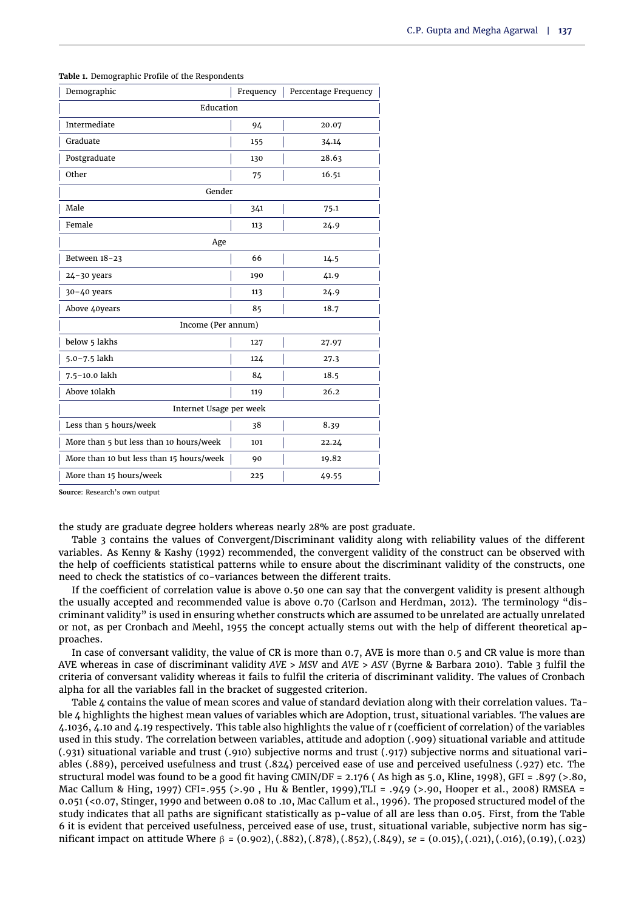| Demographic                              | Frequency | Percentage Frequency |  |  |  |  |  |
|------------------------------------------|-----------|----------------------|--|--|--|--|--|
| Education                                |           |                      |  |  |  |  |  |
| Intermediate                             | 94        | 20.07                |  |  |  |  |  |
| Graduate                                 | 155       | 34.14                |  |  |  |  |  |
| Postgraduate                             | 130       | 28.63                |  |  |  |  |  |
| Other                                    | 75        | 16.51                |  |  |  |  |  |
| Gender                                   |           |                      |  |  |  |  |  |
| Male                                     | 341       | 75.1                 |  |  |  |  |  |
| Female                                   | 113       | 24.9                 |  |  |  |  |  |
| Age                                      |           |                      |  |  |  |  |  |
| Between 18-23                            | 66        | 14.5                 |  |  |  |  |  |
| $24 - 30$ years                          | 190       | 41.9                 |  |  |  |  |  |
| $30 - 40$ years                          | 113       | 24.9                 |  |  |  |  |  |
| Above 40years                            | 85        | 18.7                 |  |  |  |  |  |
| Income (Per annum)                       |           |                      |  |  |  |  |  |
| below 5 lakhs                            | 127       | 27.97                |  |  |  |  |  |
| 5.0-7.5 lakh                             | 124       | 27.3                 |  |  |  |  |  |
| 7.5-10.0 lakh                            | 84        | 18.5                 |  |  |  |  |  |
| Above 10lakh                             | 119       | 26.2                 |  |  |  |  |  |
| Internet Usage per week                  |           |                      |  |  |  |  |  |
| Less than 5 hours/week                   | 38        | 8.39                 |  |  |  |  |  |
| More than 5 but less than 10 hours/week  | 101       | 22.24                |  |  |  |  |  |
| More than 10 but less than 15 hours/week | 90        | 19.82                |  |  |  |  |  |
| More than 15 hours/week                  | 225       | 49.55                |  |  |  |  |  |

<span id="page-5-0"></span>**Table 1.** Demographic Profile of the Respondents

**Source**: Research's own output

the study are graduate degree holders whereas nearly 28% are post graduate.

[Table 3](#page-7-0) contains the values of Convergent/Discriminant validity along with reliability values of the different variables. As Kenny & Kashy (1992) recommended, the convergent validity of the construct can be observed with the help of coefficients statistical patterns while to ensure about the discriminant validity of the constructs, one need to check the statistics of co-variances between the different traits.

If the coefficient of correlation value is above 0.50 one can say that the convergent validity is present although the usually accepted and recommended value is above 0.70 (Carlson and Herdman, 2012). The terminology "discriminant validity" is used in ensuring whether constructs which are assumed to be unrelated are actually unrelated or not, as per Cronbach and Meehl, 1955 the concept actually stems out with the help of different theoretical approaches.

In case of conversant validity, the value of CR is more than 0.7, AVE is more than 0.5 and CR value is more than AVE whereas in case of discriminant validity *AVE* > *MSV* and *AVE* > *ASV* (Byrne & Barbara 2010). [Table 3](#page-7-0) fulfil the criteria of conversant validity whereas it fails to fulfil the criteria of discriminant validity. The values of Cronbach alpha for all the variables fall in the bracket of suggested criterion.

[Table 4](#page-7-1) contains the value of mean scores and value of standard deviation along with their correlation values. [Ta](#page-7-1)[ble 4](#page-7-1) highlights the highest mean values of variables which are Adoption, trust, situational variables. The values are 4.1036, 4.10 and 4.19 respectively. This table also highlights the value of r (coefficient of correlation) of the variables used in this study. The correlation between variables, attitude and adoption (.909) situational variable and attitude (.931) situational variable and trust (.910) subjective norms and trust (.917) subjective norms and situational variables (.889), perceived usefulness and trust (.824) perceived ease of use and perceived usefulness (.927) etc. The structural model was found to be a good fit having CMIN/DF = 2.176 ( As high as 5.0, Kline, 1998), GFI = .897 (>.80, Mac Callum & Hing, 1997) CFI=.955 (>.90 , Hu & Bentler, 1999),TLI = .949 (>.90, Hooper et al., 2008) RMSEA = 0.051 (<0.07, Stinger, 1990 and between 0.08 to .10, Mac Callum et al., 1996). The proposed structured model of the study indicates that all paths are significant statistically as p-value of all are less than 0.05. First, from the [Table](#page-8-0) [6](#page-8-0) it is evident that perceived usefulness, perceived ease of use, trust, situational variable, subjective norm has significant impact on attitude Where β = (0.902), (.882), (.878), (.852), (.849), *se* = (0.015), (.021), (.016), (0.19), (.023)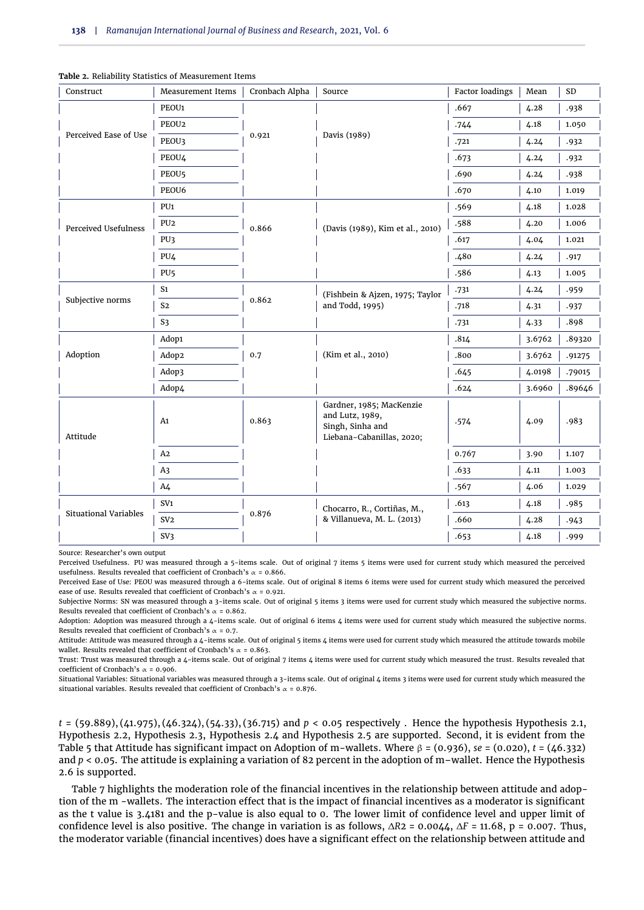| Construct                    | <b>Measurement Items</b> | Cronbach Alpha | Source                                                                                       | Factor loadings | Mean   | <b>SD</b> |
|------------------------------|--------------------------|----------------|----------------------------------------------------------------------------------------------|-----------------|--------|-----------|
|                              | PEOU1                    |                |                                                                                              | .667            | 4.28   | .938      |
|                              | PEOU2                    |                | Davis (1989)                                                                                 | .744            | 4.18   | 1.050     |
| Perceived Ease of Use        | PEOU3                    | 0.921          |                                                                                              | .721            | 4.24   | .932      |
|                              | PEOU4                    |                |                                                                                              | .673            | 4.24   | .932      |
|                              | PEOU <sub>5</sub>        |                |                                                                                              | .690            | 4.24   | .938      |
|                              | PEOU6                    |                |                                                                                              | .670            | 4.10   | 1.019     |
|                              | PU1                      |                |                                                                                              | .569            | 4.18   | 1.028     |
| Perceived Usefulness         | PU <sub>2</sub>          | 0.866          | (Davis (1989), Kim et al., 2010)                                                             | .588            | 4.20   | 1.006     |
|                              | PU3                      |                |                                                                                              | .617            | 4.04   | 1.021     |
|                              | PU4                      |                |                                                                                              | .480            | 4.24   | .917      |
|                              | PU <sub>5</sub>          |                |                                                                                              | .586            | 4.13   | 1.005     |
|                              | S <sub>1</sub>           |                | (Fishbein & Ajzen, 1975; Taylor                                                              |                 | 4.24   | .959      |
| Subjective norms             | S <sub>2</sub>           | 0.862          | and Todd, 1995)                                                                              | .718            | 4.31   | .937      |
|                              | S <sub>3</sub>           |                |                                                                                              | .731            | 4.33   | .898      |
|                              | Adop1                    |                |                                                                                              | .814            | 3.6762 | .89320    |
| Adoption                     | Adop2                    | 0.7            | (Kim et al., 2010)                                                                           | .800            | 3.6762 | .91275    |
|                              | Adop3                    |                |                                                                                              | .645            | 4.0198 | .79015    |
|                              | Adop4                    |                |                                                                                              | .624            | 3.6960 | .89646    |
| Attitude                     | A <sub>1</sub>           | 0.863          | Gardner, 1985; MacKenzie<br>and Lutz, 1989,<br>Singh, Sinha and<br>Liebana-Cabanillas, 2020; | .574            | 4.09   | .983      |
|                              | A2                       |                |                                                                                              | 0.767           | 3.90   | 1.107     |
|                              | A <sub>3</sub>           |                |                                                                                              | .633            | 4.11   | 1.003     |
|                              | A <sub>4</sub>           |                |                                                                                              | .567            | 4.06   | 1.029     |
|                              | SV <sub>1</sub>          |                | Chocarro, R., Cortiñas, M.,                                                                  | .613            | 4.18   | .985      |
| <b>Situational Variables</b> | SV <sub>2</sub>          | 0.876          | & Villanueva, M. L. (2013)                                                                   | .660            | 4.28   | .943      |
|                              | SV3                      |                |                                                                                              | .653            | 4.18   | .999      |

**Table 2.** Reliability Statistics of Measurement Items

Source: Researcher's own output

Perceived Usefulness. PU was measured through a 5-items scale. Out of original 7 items 5 items were used for current study which measured the perceived usefulness. Results revealed that coefficient of Cronbach's  $\alpha$  = 0.866.

Perceived Ease of Use: PEOU was measured through a 6-items scale. Out of original 8 items 6 items were used for current study which measured the perceived ease of use. Results revealed that coefficient of Cronbach's  $\alpha$  = 0.921.

Subjective Norms: SN was measured through a 3-items scale. Out of original 5 items 3 items were used for current study which measured the subjective norms. Results revealed that coefficient of Cronbach's  $\alpha$  = 0.862.

Adoption: Adoption was measured through a 4-items scale. Out of original 6 items 4 items were used for current study which measured the subjective norms. Results revealed that coefficient of Cronbach's  $\alpha$  = 0.7.

Attitude: Attitude was measured through a 4-items scale. Out of original 5 items 4 items were used for current study which measured the attitude towards mobile wallet. Results revealed that coefficient of Cronbach's  $\alpha = 0.863$ .

Trust: Trust was measured through a 4-items scale. Out of original 7 items 4 items were used for current study which measured the trust. Results revealed that coefficient of Cronbach's  $\alpha$  = 0.906.

Situational Variables: Situational variables was measured through a 3-items scale. Out of original 4 items 3 items were used for current study which measured the situational variables. Results revealed that coefficient of Cronbach's  $\alpha$  = 0.876.

*t* = (59.889), (41.975), (46.324), (54.33), (36.715) and *p* < 0.05 respectively . Hence the hypothesis [Hypothesis 2.1,](#page-2-0) [Hypothesis 2.2,](#page-2-1) [Hypothesis 2.3,](#page-3-0) [Hypothesis 2.4](#page-3-1) and [Hypothesis 2.5](#page-3-2) are supported. Second, it is evident from the [Table 5](#page-7-2) that Attitude has significant impact on Adoption of m-wallets. Where β = (0.936), *se* = (0.020), *t* = (46.332) and  $p < 0.05$ . The attitude is explaining a variation of 82 percent in the adoption of m-wallet. Hence the [Hypothesis](#page-3-3) [2.6](#page-3-3) is supported.

[Table 7](#page-9-0) highlights the moderation role of the financial incentives in the relationship between attitude and adoption of the m -wallets. The interaction effect that is the impact of financial incentives as a moderator is significant as the t value is 3.4181 and the p-value is also equal to 0. The lower limit of confidence level and upper limit of confidence level is also positive. The change in variation is as follows, ∆*R*2 = 0.0044, ∆*F* = 11.68, p = 0.007. Thus, the moderator variable (financial incentives) does have a significant effect on the relationship between attitude and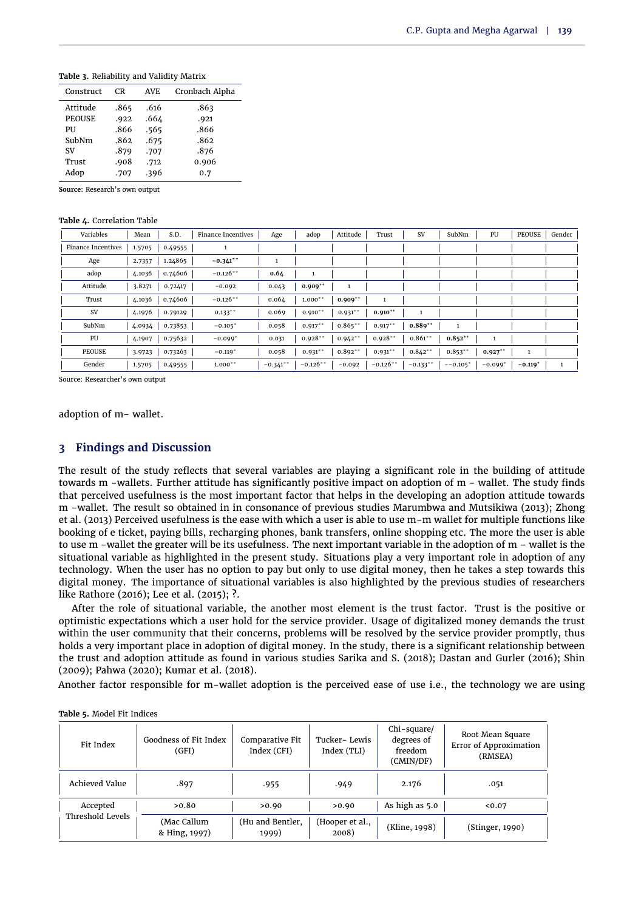<span id="page-7-0"></span>**Table 3.** Reliability and Validity Matrix

| Construct     | CR   | <b>AVE</b> | Cronbach Alpha |
|---------------|------|------------|----------------|
| Attitude      | .865 | .616       | .863           |
| <b>PEOUSE</b> | .922 | .664       | .921           |
| PU            | .866 | .565       | .866           |
| SubNm         | .862 | .675       | .862           |
| SV            | .879 | .707       | .876           |
| Trust         | .908 | .712       | 0.906          |
| Adop          | .707 | .396       | 0.7            |
|               |      |            |                |

**Source**: Research's own output

#### <span id="page-7-1"></span>**Table 4.** Correlation Table

| Variables          | Mean   | S.D.    | Finance Incentives | Age        | adop         | Attitude   | Trust        | SV         | SubNm        | PU                    | PEOUSE                | Gender       |
|--------------------|--------|---------|--------------------|------------|--------------|------------|--------------|------------|--------------|-----------------------|-----------------------|--------------|
| Finance Incentives | 1.5705 | 0.49555 |                    |            |              |            |              |            |              |                       |                       |              |
| Age                | 2.7357 | 1.24865 | $-0.341**$         |            |              |            |              |            |              |                       |                       |              |
| adop               | 4.1036 | 0.74606 | $-0.126**$         | 0.64       |              |            |              |            |              |                       |                       |              |
| Attitude           | 3.8271 | 0.72417 | $-0.092$           | 0.043      | $0.909^{+*}$ | 1          |              |            |              |                       |                       |              |
| Trust              | 4.1036 | 0.74606 | $-0.126**$         | 0.064      | $1.000**$    | $0.909**$  |              |            |              |                       |                       |              |
| SV                 | 4.1976 | 0.79129 | $0.133***$         | 0.069      | $0.910**$    | $0.931**$  | $0.910^{++}$ |            |              |                       |                       |              |
| SubNm              | 4.0934 | 0.73853 | $-0.105*$          | 0.058      | $0.917**$    | $0.865***$ | $0.917***$   | $0.889**$  |              |                       |                       |              |
| PU                 | 4.1907 | 0.75632 | $-0.099*$          | 0.031      | $0.928**$    | $0.942**$  | $0.928**$    | $0.861**$  | $0.852^{++}$ | 1                     |                       |              |
| <b>PEOUSE</b>      | 3.9723 | 0.73263 | $-0.119*$          | 0.058      | $0.931***$   | $0.892**$  | $0.931***$   | $0.842**$  | $0.853***$   | $0.927$ <sup>++</sup> | 1                     |              |
| Gender             | 1.5705 | 0.49555 | $1.000**$          | $-0.341**$ | $-0.126**$   | $-0.092$   | $-0.126**$   | $-0.133**$ | $--0.105*$   | $-0.099*$             | $-0.119$ <sup>+</sup> | $\mathbf{1}$ |

Source: Researcher's own output

adoption of m- wallet.

# **3 Findings and Discussion**

The result of the study reflects that several variables are playing a significant role in the building of attitude towards m -wallets. Further attitude has significantly positive impact on adoption of m - wallet. The study finds that perceived usefulness is the most important factor that helps in the developing an adoption attitude towards m -wallet. The result so obtained in in consonance of previous studies [Marumbwa and Mutsikiwa](#page-11-8) [\(2013\)](#page-11-8); [Zhong](#page-11-9) [et al.](#page-11-9) [\(2013\)](#page-11-9) Perceived usefulness is the ease with which a user is able to use m-m wallet for multiple functions like booking of e ticket, paying bills, recharging phones, bank transfers, online shopping etc. The more the user is able to use m -wallet the greater will be its usefulness. The next important variable in the adoption of m – wallet is the situational variable as highlighted in the present study. Situations play a very important role in adoption of any technology. When the user has no option to pay but only to use digital money, then he takes a step towards this digital money. The importance of situational variables is also highlighted by the previous studies of researchers like [Rathore](#page-11-17) [\(2016\)](#page-11-17); [Lee et al.](#page-10-14) [\(2015\)](#page-10-14); **?**.

After the role of situational variable, the another most element is the trust factor. Trust is the positive or optimistic expectations which a user hold for the service provider. Usage of digitalized money demands the trust within the user community that their concerns, problems will be resolved by the service provider promptly, thus holds a very important place in adoption of digital money. In the study, there is a significant relationship between the trust and adoption attitude as found in various studies [Sarika and S.](#page-11-13) [\(2018\)](#page-11-13); [Dastan and Gurler](#page-10-3) [\(2016\)](#page-10-3); [Shin](#page-11-4) [\(2009\)](#page-11-4); [Pahwa](#page-11-16) [\(2020\)](#page-11-16); [Kumar et al.](#page-10-13) [\(2018\)](#page-10-13).

Another factor responsible for m-wallet adoption is the perceived ease of use i.e., the technology we are using

| Fit Index        | Goodness of Fit Index<br>(GFI) | Comparative Fit<br>Index (CFI) | Tucker-Lewis<br>Index (TLI) | Chi-square/<br>degrees of<br>freedom<br>(CMIN/DF) | Root Mean Square<br><b>Error of Approximation</b><br>(RMSEA) |
|------------------|--------------------------------|--------------------------------|-----------------------------|---------------------------------------------------|--------------------------------------------------------------|
| Achieved Value   | .897                           | .955                           | .949                        | 2.176                                             | .051                                                         |
| Accepted         | >0.80                          | >0.90                          | >0.90                       | As high as 5.0                                    | 0.07                                                         |
| Threshold Levels | (Mac Callum<br>& Hing, 1997)   | (Hu and Bentler,<br>1999)      | (Hooper et al.,<br>2008)    | (Kline, 1998)                                     | (Stinger, 1990)                                              |

<span id="page-7-2"></span>

| Table 5. Model Fit Indices |
|----------------------------|
|----------------------------|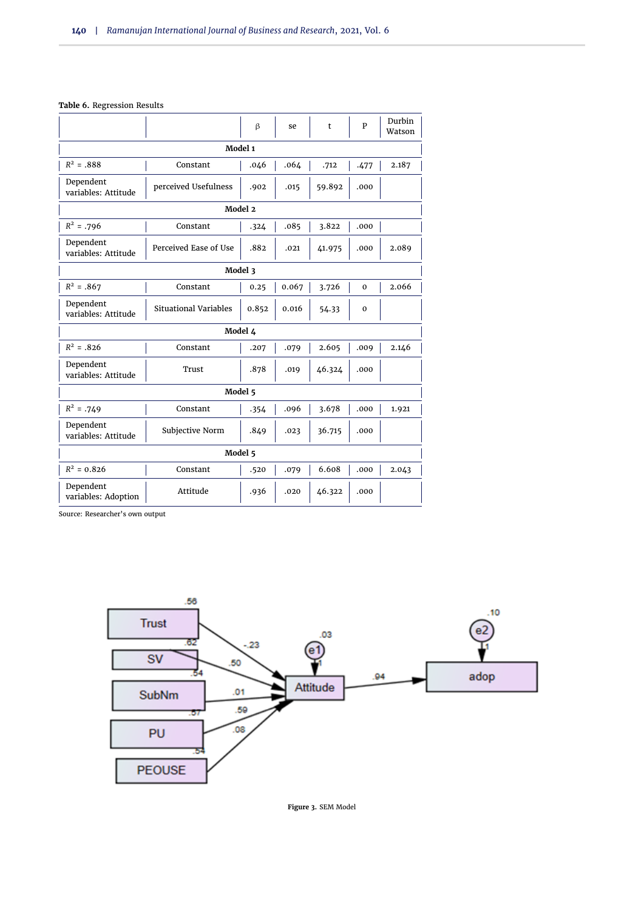#### <span id="page-8-0"></span>**Table 6.** Regression Results

|                                  |                              | $\beta$ | se    | t      | P           | Durbin<br>Watson |  |  |  |
|----------------------------------|------------------------------|---------|-------|--------|-------------|------------------|--|--|--|
| Model 1                          |                              |         |       |        |             |                  |  |  |  |
| $R^2 = .888$                     | Constant                     | .046    | .064  | .712   | .477        | 2.187            |  |  |  |
| Dependent<br>variables: Attitude | perceived Usefulness         |         |       | 59.892 | .000        |                  |  |  |  |
|                                  |                              | Model 2 |       |        |             |                  |  |  |  |
| $R^2 = .796$                     | Constant                     | .324    | .085  | 3.822  | .000        |                  |  |  |  |
| Dependent<br>variables: Attitude | Perceived Ease of Use        | .882    | .021  | 41.975 | .000        | 2.089            |  |  |  |
|                                  | Model 3                      |         |       |        |             |                  |  |  |  |
| $R^2 = .867$                     | Constant                     | 0.25    | 0.067 | 3.726  | $\mathbf 0$ | 2.066            |  |  |  |
| Dependent<br>variables: Attitude | <b>Situational Variables</b> | 0.852   | 0.016 | 54.33  | $\mathbf 0$ |                  |  |  |  |
|                                  | Model 4                      |         |       |        |             |                  |  |  |  |
| $R^2 = .826$                     | Constant                     | .207    | .079  | 2.605  | .009        | 2.146            |  |  |  |
| Dependent<br>variables: Attitude | Trust                        | .878    | .019  | 46.324 | .000        |                  |  |  |  |
| Model 5                          |                              |         |       |        |             |                  |  |  |  |
| $R^2 = .749$                     | Constant                     | .354    | .096  | 3.678  | .000        | 1.921            |  |  |  |
| Dependent<br>variables: Attitude | Subjective Norm              |         | .023  | 36.715 | .000        |                  |  |  |  |
|                                  | Model 5                      |         |       |        |             |                  |  |  |  |
| $R^2 = 0.826$                    | Constant                     | .520    | .079  | 6.608  | .000        | 2.043            |  |  |  |
| Dependent<br>variables: Adoption | Attitude                     | .936    | .020  | 46.322 | .000        |                  |  |  |  |

Source: Researcher's own output



**Figure 3.** SEM Model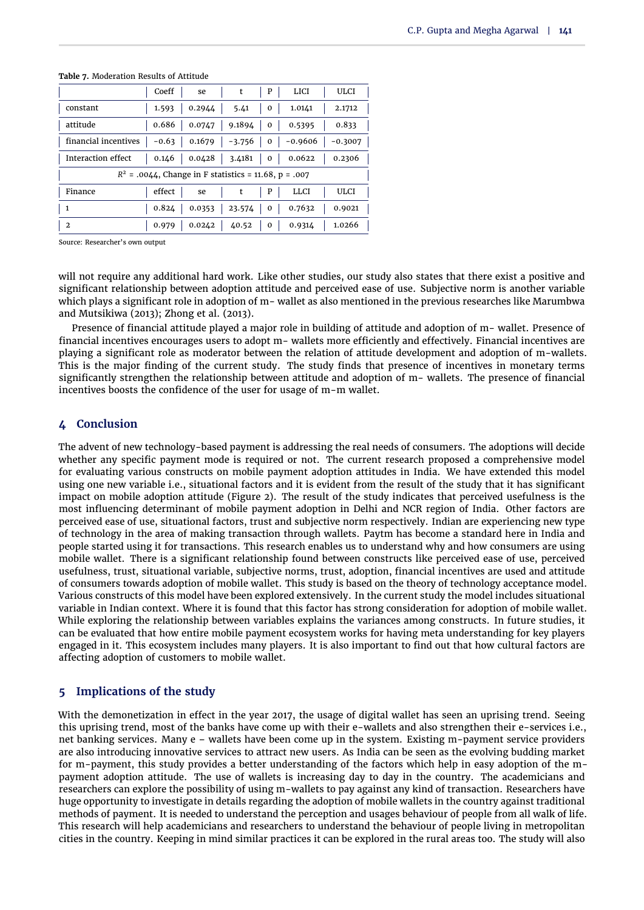|                                                         | Coeff  | se     | t                                        | P              | <b>LICI</b>                                 | ULCI      |  |
|---------------------------------------------------------|--------|--------|------------------------------------------|----------------|---------------------------------------------|-----------|--|
| constant                                                | 1.593  | 0.2944 | 5.41                                     | 0              | 1.0141                                      | 2.1712    |  |
| attitude                                                | 0.686  |        | $0.0747$   9.1894   0   0.5395           |                |                                             | 0.833     |  |
| financial incentives                                    |        |        |                                          |                | $-0.63$   0.1679   $-3.756$   0   $-0.9606$ | $-0.3007$ |  |
| Interaction effect                                      |        |        | $0.146$   $0.0428$   3.4181   0   0.0622 |                |                                             | 0.2306    |  |
| $R^2$ = .0044, Change in F statistics = 11.68, p = .007 |        |        |                                          |                |                                             |           |  |
| Finance                                                 | effect | se     |                                          | P              | <b>LLCI</b>                                 | ULCI      |  |
| -1                                                      | 0.824  | 0.0353 | 23.574                                   |                | $0 \mid 0.7632$                             | 0.9021    |  |
| $\overline{2}$                                          | 0.979  | 0.0242 | 40.52                                    | 0 <sup>1</sup> | 0.9314                                      | 1.0266    |  |

<span id="page-9-0"></span>**Table 7.** Moderation Results of Attitude

Source: Researcher's own output

will not require any additional hard work. Like other studies, our study also states that there exist a positive and significant relationship between adoption attitude and perceived ease of use. Subjective norm is another variable which plays a significant role in adoption of m- wallet as also mentioned in the previous researches like [Marumbwa](#page-11-8) [and Mutsikiwa](#page-11-8) [\(2013\)](#page-11-8); [Zhong et al.](#page-11-9) [\(2013\)](#page-11-9).

Presence of financial attitude played a major role in building of attitude and adoption of m- wallet. Presence of financial incentives encourages users to adopt m- wallets more efficiently and effectively. Financial incentives are playing a significant role as moderator between the relation of attitude development and adoption of m-wallets. This is the major finding of the current study. The study finds that presence of incentives in monetary terms significantly strengthen the relationship between attitude and adoption of m- wallets. The presence of financial incentives boosts the confidence of the user for usage of m-m wallet.

#### **4 Conclusion**

The advent of new technology-based payment is addressing the real needs of consumers. The adoptions will decide whether any specific payment mode is required or not. The current research proposed a comprehensive model for evaluating various constructs on mobile payment adoption attitudes in India. We have extended this model using one new variable i.e., situational factors and it is evident from the result of the study that it has significant impact on mobile adoption attitude [\(Figure 2\)](#page-4-0). The result of the study indicates that perceived usefulness is the most influencing determinant of mobile payment adoption in Delhi and NCR region of India. Other factors are perceived ease of use, situational factors, trust and subjective norm respectively. Indian are experiencing new type of technology in the area of making transaction through wallets. Paytm has become a standard here in India and people started using it for transactions. This research enables us to understand why and how consumers are using mobile wallet. There is a significant relationship found between constructs like perceived ease of use, perceived usefulness, trust, situational variable, subjective norms, trust, adoption, financial incentives are used and attitude of consumers towards adoption of mobile wallet. This study is based on the theory of technology acceptance model. Various constructs of this model have been explored extensively. In the current study the model includes situational variable in Indian context. Where it is found that this factor has strong consideration for adoption of mobile wallet. While exploring the relationship between variables explains the variances among constructs. In future studies, it can be evaluated that how entire mobile payment ecosystem works for having meta understanding for key players engaged in it. This ecosystem includes many players. It is also important to find out that how cultural factors are affecting adoption of customers to mobile wallet.

# **5 Implications of the study**

With the demonetization in effect in the year 2017, the usage of digital wallet has seen an uprising trend. Seeing this uprising trend, most of the banks have come up with their e-wallets and also strengthen their e-services i.e., net banking services. Many e – wallets have been come up in the system. Existing m-payment service providers are also introducing innovative services to attract new users. As India can be seen as the evolving budding market for m-payment, this study provides a better understanding of the factors which help in easy adoption of the mpayment adoption attitude. The use of wallets is increasing day to day in the country. The academicians and researchers can explore the possibility of using m-wallets to pay against any kind of transaction. Researchers have huge opportunity to investigate in details regarding the adoption of mobile wallets in the country against traditional methods of payment. It is needed to understand the perception and usages behaviour of people from all walk of life. This research will help academicians and researchers to understand the behaviour of people living in metropolitan cities in the country. Keeping in mind similar practices it can be explored in the rural areas too. The study will also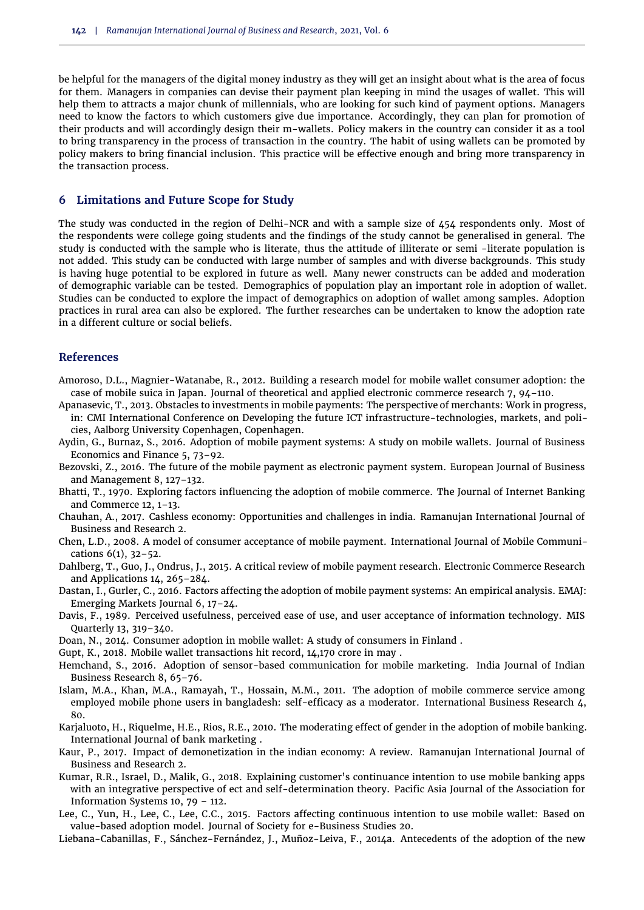be helpful for the managers of the digital money industry as they will get an insight about what is the area of focus for them. Managers in companies can devise their payment plan keeping in mind the usages of wallet. This will help them to attracts a major chunk of millennials, who are looking for such kind of payment options. Managers need to know the factors to which customers give due importance. Accordingly, they can plan for promotion of their products and will accordingly design their m-wallets. Policy makers in the country can consider it as a tool to bring transparency in the process of transaction in the country. The habit of using wallets can be promoted by policy makers to bring financial inclusion. This practice will be effective enough and bring more transparency in the transaction process.

#### **6 Limitations and Future Scope for Study**

The study was conducted in the region of Delhi-NCR and with a sample size of 454 respondents only. Most of the respondents were college going students and the findings of the study cannot be generalised in general. The study is conducted with the sample who is literate, thus the attitude of illiterate or semi -literate population is not added. This study can be conducted with large number of samples and with diverse backgrounds. This study is having huge potential to be explored in future as well. Many newer constructs can be added and moderation of demographic variable can be tested. Demographics of population play an important role in adoption of wallet. Studies can be conducted to explore the impact of demographics on adoption of wallet among samples. Adoption practices in rural area can also be explored. The further researches can be undertaken to know the adoption rate in a different culture or social beliefs.

#### **References**

- <span id="page-10-2"></span>Amoroso, D.L., Magnier-Watanabe, R., 2012. Building a research model for mobile wallet consumer adoption: the case of mobile suica in Japan. Journal of theoretical and applied electronic commerce research 7, 94–110.
- <span id="page-10-6"></span>Apanasevic, T., 2013. Obstacles to investments in mobile payments: The perspective of merchants: Work in progress, in: CMI International Conference on Developing the future ICT infrastructure-technologies, markets, and policies, Aalborg University Copenhagen, Copenhagen.
- <span id="page-10-4"></span>Aydin, G., Burnaz, S., 2016. Adoption of mobile payment systems: A study on mobile wallets. Journal of Business Economics and Finance 5, 73–92.
- <span id="page-10-0"></span>Bezovski, Z., 2016. The future of the mobile payment as electronic payment system. European Journal of Business and Management 8, 127–132.
- <span id="page-10-15"></span>Bhatti, T., 1970. Exploring factors influencing the adoption of mobile commerce. The Journal of Internet Banking and Commerce 12, 1–13.
- <span id="page-10-9"></span>Chauhan, A., 2017. Cashless economy: Opportunities and challenges in india. Ramanujan International Journal of Business and Research 2.
- <span id="page-10-7"></span>Chen, L.D., 2008. A model of consumer acceptance of mobile payment. International Journal of Mobile Communications 6(1), 32–52.
- <span id="page-10-11"></span>Dahlberg, T., Guo, J., Ondrus, J., 2015. A critical review of mobile payment research. Electronic Commerce Research and Applications 14, 265–284.
- <span id="page-10-3"></span>Dastan, I., Gurler, C., 2016. Factors affecting the adoption of mobile payment systems: An empirical analysis. EMAJ: Emerging Markets Journal 6, 17–24.
- <span id="page-10-5"></span>Davis, F., 1989. Perceived usefulness, perceived ease of use, and user acceptance of information technology. MIS Quarterly 13, 319–340.
- <span id="page-10-1"></span>Doan, N., 2014. Consumer adoption in mobile wallet: A study of consumers in Finland .
- <span id="page-10-16"></span>Gupt, K., 2018. Mobile wallet transactions hit record, 14,170 crore in may .
- <span id="page-10-12"></span>Hemchand, S., 2016. Adoption of sensor-based communication for mobile marketing. India Journal of Indian Business Research 8, 65–76.
- <span id="page-10-18"></span>Islam, M.A., Khan, M.A., Ramayah, T., Hossain, M.M., 2011. The adoption of mobile commerce service among employed mobile phone users in bangladesh: self-efficacy as a moderator. International Business Research 4, 80.
- <span id="page-10-17"></span>Karjaluoto, H., Riquelme, H.E., Rios, R.E., 2010. The moderating effect of gender in the adoption of mobile banking. International Journal of bank marketing .
- <span id="page-10-8"></span>Kaur, P., 2017. Impact of demonetization in the indian economy: A review. Ramanujan International Journal of Business and Research 2.
- <span id="page-10-13"></span>Kumar, R.R., Israel, D., Malik, G., 2018. Explaining customer's continuance intention to use mobile banking apps with an integrative perspective of ect and self-determination theory. Pacific Asia Journal of the Association for Information Systems 10, 79 – 112.
- <span id="page-10-14"></span>Lee, C., Yun, H., Lee, C., Lee, C.C., 2015. Factors affecting continuous intention to use mobile wallet: Based on value-based adoption model. Journal of Society for e-Business Studies 20.
- <span id="page-10-10"></span>Liebana-Cabanillas, F., Sánchez-Fernández, J., Muñoz-Leiva, F., 2014a. Antecedents of the adoption of the new